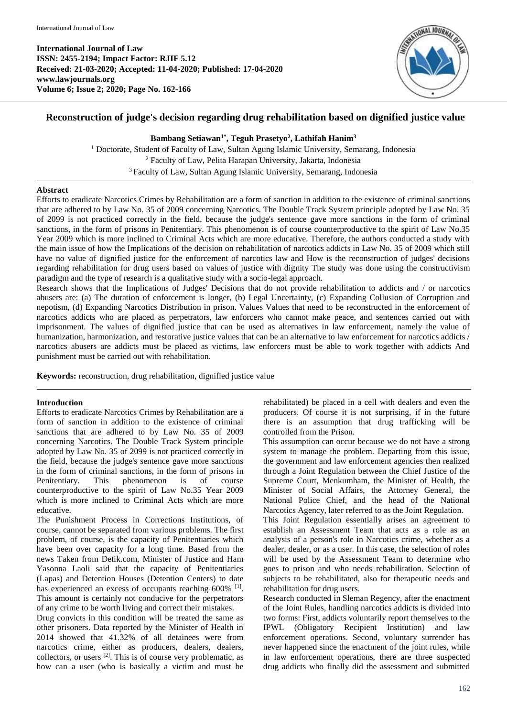**International Journal of Law ISSN: 2455-2194; Impact Factor: RJIF 5.12 Received: 21-03-2020; Accepted: 11-04-2020; Published: 17-04-2020 www.lawjournals.org Volume 6; Issue 2; 2020; Page No. 162-166**



# **Reconstruction of judge's decision regarding drug rehabilitation based on dignified justice value**

**Bambang Setiawan1\* , Teguh Prasetyo<sup>2</sup> , Lathifah Hanim<sup>3</sup>**

<sup>1</sup> Doctorate, Student of Faculty of Law, Sultan Agung Islamic University, Semarang, Indonesia <sup>2</sup> Faculty of Law, Pelita Harapan University, Jakarta, Indonesia <sup>3</sup> Faculty of Law, Sultan Agung Islamic University, Semarang, Indonesia

### **Abstract**

Efforts to eradicate Narcotics Crimes by Rehabilitation are a form of sanction in addition to the existence of criminal sanctions that are adhered to by Law No. 35 of 2009 concerning Narcotics. The Double Track System principle adopted by Law No. 35 of 2099 is not practiced correctly in the field, because the judge's sentence gave more sanctions in the form of criminal sanctions, in the form of prisons in Penitentiary. This phenomenon is of course counterproductive to the spirit of Law No.35 Year 2009 which is more inclined to Criminal Acts which are more educative. Therefore, the authors conducted a study with the main issue of how the Implications of the decision on rehabilitation of narcotics addicts in Law No. 35 of 2009 which still have no value of dignified justice for the enforcement of narcotics law and How is the reconstruction of judges' decisions regarding rehabilitation for drug users based on values of justice with dignity The study was done using the constructivism paradigm and the type of research is a qualitative study with a socio-legal approach.

Research shows that the Implications of Judges' Decisions that do not provide rehabilitation to addicts and / or narcotics abusers are: (a) The duration of enforcement is longer, (b) Legal Uncertainty, (c) Expanding Collusion of Corruption and nepotism, (d) Expanding Narcotics Distribution in prison. Values Values that need to be reconstructed in the enforcement of narcotics addicts who are placed as perpetrators, law enforcers who cannot make peace, and sentences carried out with imprisonment. The values of dignified justice that can be used as alternatives in law enforcement, namely the value of humanization, harmonization, and restorative justice values that can be an alternative to law enforcement for narcotics addicts / narcotics abusers are addicts must be placed as victims, law enforcers must be able to work together with addicts And punishment must be carried out with rehabilitation.

**Keywords:** reconstruction, drug rehabilitation, dignified justice value

## **Introduction**

Efforts to eradicate Narcotics Crimes by Rehabilitation are a form of sanction in addition to the existence of criminal sanctions that are adhered to by Law No. 35 of 2009 concerning Narcotics. The Double Track System principle adopted by Law No. 35 of 2099 is not practiced correctly in the field, because the judge's sentence gave more sanctions in the form of criminal sanctions, in the form of prisons in Penitentiary. This phenomenon is of course counterproductive to the spirit of Law No.35 Year 2009 which is more inclined to Criminal Acts which are more educative.

The Punishment Process in Corrections Institutions, of course, cannot be separated from various problems. The first problem, of course, is the capacity of Penitentiaries which have been over capacity for a long time. Based from the news Taken from Detik.com, Minister of Justice and Ham Yasonna Laoli said that the capacity of Penitentiaries (Lapas) and Detention Houses (Detention Centers) to date has experienced an excess of occupants reaching 600% [1]. This amount is certainly not conducive for the perpetrators of any crime to be worth living and correct their mistakes.

Drug convicts in this condition will be treated the same as other prisoners. Data reported by the Minister of Health in 2014 showed that 41.32% of all detainees were from narcotics crime, either as producers, dealers, dealers, collectors, or users  $^{[2]}$ . This is of course very problematic, as how can a user (who is basically a victim and must be

rehabilitated) be placed in a cell with dealers and even the producers. Of course it is not surprising, if in the future there is an assumption that drug trafficking will be controlled from the Prison.

This assumption can occur because we do not have a strong system to manage the problem. Departing from this issue, the government and law enforcement agencies then realized through a Joint Regulation between the Chief Justice of the Supreme Court, Menkumham, the Minister of Health, the Minister of Social Affairs, the Attorney General, the National Police Chief, and the head of the National Narcotics Agency, later referred to as the Joint Regulation.

This Joint Regulation essentially arises an agreement to establish an Assessment Team that acts as a role as an analysis of a person's role in Narcotics crime, whether as a dealer, dealer, or as a user. In this case, the selection of roles will be used by the Assessment Team to determine who goes to prison and who needs rehabilitation. Selection of subjects to be rehabilitated, also for therapeutic needs and rehabilitation for drug users.

Research conducted in Sleman Regency, after the enactment of the Joint Rules, handling narcotics addicts is divided into two forms: First, addicts voluntarily report themselves to the IPWL (Obligatory Recipient Institution) and law enforcement operations. Second, voluntary surrender has never happened since the enactment of the joint rules, while in law enforcement operations, there are three suspected drug addicts who finally did the assessment and submitted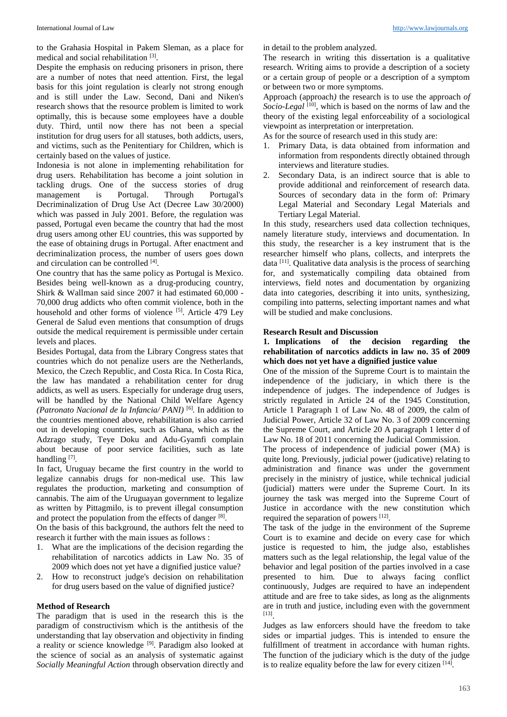to the Grahasia Hospital in Pakem Sleman, as a place for medical and social rehabilitation [3].

Despite the emphasis on reducing prisoners in prison, there are a number of notes that need attention. First, the legal basis for this joint regulation is clearly not strong enough and is still under the Law. Second, Dani and Niken's research shows that the resource problem is limited to work optimally, this is because some employees have a double duty. Third, until now there has not been a special institution for drug users for all statuses, both addicts, users, and victims, such as the Penitentiary for Children, which is certainly based on the values of justice.

Indonesia is not alone in implementing rehabilitation for drug users. Rehabilitation has become a joint solution in tackling drugs. One of the success stories of drug management is Portugal. Through Portugal's Decriminalization of Drug Use Act (Decree Law 30/2000) which was passed in July 2001. Before, the regulation was passed, Portugal even became the country that had the most drug users among other EU countries, this was supported by the ease of obtaining drugs in Portugal. After enactment and decriminalization process, the number of users goes down and circulation can be controlled [4].

One country that has the same policy as Portugal is Mexico. Besides being well-known as a drug-producing country, Shirk & Wallman said since 2007 it had estimated 60,000 - 70,000 drug addicts who often commit violence, both in the household and other forms of violence <sup>[5]</sup>. Article 479 Ley General de Salud even mentions that consumption of drugs outside the medical requirement is permissible under certain levels and places.

Besides Portugal, data from the Library Congress states that countries which do not penalize users are the Netherlands, Mexico, the Czech Republic, and Costa Rica. In Costa Rica, the law has mandated a rehabilitation center for drug addicts, as well as users. Especially for underage drug users, will be handled by the National Child Welfare Agency *(Patronato Nacional de la Infancia/ PANI)* [6] *.* In addition to the countries mentioned above, rehabilitation is also carried out in developing countries, such as Ghana, which as the Adzrago study, Teye Doku and Adu-Gyamfi complain about because of poor service facilities, such as late handling<sup>[7]</sup>.

In fact, Uruguay became the first country in the world to legalize cannabis drugs for non-medical use. This law regulates the production, marketing and consumption of cannabis. The aim of the Uruguayan government to legalize as written by Pittagmilo, is to prevent illegal consumption and protect the population from the effects of danger [8].

On the basis of this background, the authors felt the need to research it further with the main issues as follows :

- 1. What are the implications of the decision regarding the rehabilitation of narcotics addicts in Law No. 35 of 2009 which does not yet have a dignified justice value?
- 2. How to reconstruct judge's decision on rehabilitation for drug users based on the value of dignified justice?

### **Method of Research**

The paradigm that is used in the research this is the paradigm of constructivism which is the antithesis of the understanding that lay observation and objectivity in finding a reality or science knowledge [9]. Paradigm also looked at the science of social as an analysis of systematic against *Socially Meaningful Action* through observation directly and

in detail to the problem analyzed*.*

The research in writing this dissertation is a qualitative research. Writing aims to provide a description of a society or a certain group of people or a description of a symptom or between two or more symptoms.

Approach (approach*)* the research is to use the approach *of*  Socio-Legal<sup>[10]</sup>, which is based on the norms of law and the theory of the existing legal enforceability of a sociological viewpoint as interpretation or interpretation.

As for the source of research used in this study are:

- 1. Primary Data, is data obtained from information and information from respondents directly obtained through interviews and literature studies.
- 2. Secondary Data, is an indirect source that is able to provide additional and reinforcement of research data. Sources of secondary data in the form of: Primary Legal Material and Secondary Legal Materials and Tertiary Legal Material.

In this study, researchers used data collection techniques, namely literature study, interviews and documentation. In this study, the researcher is a key instrument that is the researcher himself who plans, collects, and interprets the data  $[11]$ . Qualitative data analysis is the process of searching for, and systematically compiling data obtained from interviews, field notes and documentation by organizing data into categories, describing it into units, synthesizing, compiling into patterns, selecting important names and what will be studied and make conclusions.

#### **Research Result and Discussion**

**1. Implications of the decision regarding the rehabilitation of narcotics addicts in law no. 35 of 2009 which does not yet have a dignified justice value**

One of the mission of the Supreme Court is to maintain the independence of the judiciary, in which there is the independence of judges. The independence of Judges is strictly regulated in Article 24 of the 1945 Constitution, Article 1 Paragraph 1 of Law No. 48 of 2009, the calm of Judicial Power, Article 32 of Law No. 3 of 2009 concerning the Supreme Court, and Article 20 A paragraph 1 letter d of Law No. 18 of 2011 concerning the Judicial Commission.

The process of independence of judicial power (MA) is quite long. Previously, judicial power (judicative) relating to administration and finance was under the government precisely in the ministry of justice, while technical judicial (judicial) matters were under the Supreme Court. In its journey the task was merged into the Supreme Court of Justice in accordance with the new constitution which required the separation of powers [12].

The task of the judge in the environment of the Supreme Court is to examine and decide on every case for which justice is requested to him, the judge also, establishes matters such as the legal relationship, the legal value of the behavior and legal position of the parties involved in a case presented to him. Due to always facing conflict continuously, Judges are required to have an independent attitude and are free to take sides, as long as the alignments are in truth and justice, including even with the government [13] .

Judges as law enforcers should have the freedom to take sides or impartial judges. This is intended to ensure the fulfillment of treatment in accordance with human rights. The function of the judiciary which is the duty of the judge is to realize equality before the law for every citizen  $[14]$ .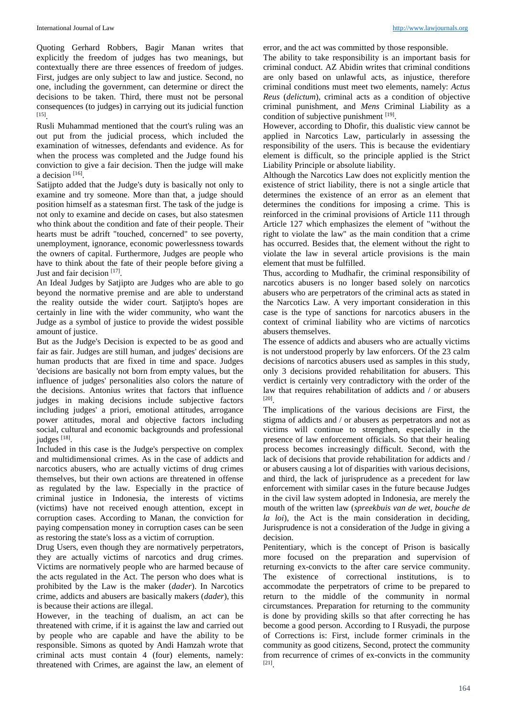Quoting Gerhard Robbers, Bagir Manan writes that explicitly the freedom of judges has two meanings, but contextually there are three essences of freedom of judges. First, judges are only subject to law and justice. Second, no one, including the government, can determine or direct the decisions to be taken. Third, there must not be personal consequences (to judges) in carrying out its judicial function [15] .

Rusli Muhammad mentioned that the court's ruling was an out put from the judicial process, which included the examination of witnesses, defendants and evidence. As for when the process was completed and the Judge found his conviction to give a fair decision. Then the judge will make a decision [16].

Satijpto added that the Judge's duty is basically not only to examine and try someone. More than that, a judge should position himself as a statesman first. The task of the judge is not only to examine and decide on cases, but also statesmen who think about the condition and fate of their people. Their hearts must be adrift "touched, concerned" to see poverty, unemployment, ignorance, economic powerlessness towards the owners of capital. Furthermore, Judges are people who have to think about the fate of their people before giving a Just and fair decision [17].

An Ideal Judges by Satjipto are Judges who are able to go beyond the normative premise and are able to understand the reality outside the wider court. Satjipto's hopes are certainly in line with the wider community, who want the Judge as a symbol of justice to provide the widest possible amount of justice.

But as the Judge's Decision is expected to be as good and fair as fair. Judges are still human, and judges' decisions are human products that are fixed in time and space. Judges 'decisions are basically not born from empty values, but the influence of judges' personalities also colors the nature of the decisions. Antonius writes that factors that influence judges in making decisions include subjective factors including judges' a priori, emotional attitudes, arrogance power attitudes, moral and objective factors including social, cultural and economic backgrounds and professional judges [18].

Included in this case is the Judge's perspective on complex and multidimensional crimes. As in the case of addicts and narcotics abusers, who are actually victims of drug crimes themselves, but their own actions are threatened in offense as regulated by the law. Especially in the practice of criminal justice in Indonesia, the interests of victims (victims) have not received enough attention, except in corruption cases. According to Manan, the conviction for paying compensation money in corruption cases can be seen as restoring the state's loss as a victim of corruption.

Drug Users, even though they are normatively perpetrators, they are actually victims of narcotics and drug crimes. Victims are normatively people who are harmed because of the acts regulated in the Act. The person who does what is prohibited by the Law is the maker (*dader*). In Narcotics crime, addicts and abusers are basically makers (*dader*), this is because their actions are illegal.

However, in the teaching of dualism, an act can be threatened with crime, if it is against the law and carried out by people who are capable and have the ability to be responsible. Simons as quoted by Andi Hamzah wrote that criminal acts must contain 4 (four) elements, namely: threatened with Crimes, are against the law, an element of error, and the act was committed by those responsible.

The ability to take responsibility is an important basis for criminal conduct. AZ Abidin writes that criminal conditions are only based on unlawful acts, as injustice, therefore criminal conditions must meet two elements, namely: *Actus Reus* (*delictum*), criminal acts as a condition of objective criminal punishment, and *Mens* Criminal Liability as a condition of subjective punishment [19].

However, according to Dhofir, this dualistic view cannot be applied in Narcotics Law, particularly in assessing the responsibility of the users. This is because the evidentiary element is difficult, so the principle applied is the Strict Liability Principle or absolute liability.

Although the Narcotics Law does not explicitly mention the existence of strict liability, there is not a single article that determines the existence of an error as an element that determines the conditions for imposing a crime. This is reinforced in the criminal provisions of Article 111 through Article 127 which emphasizes the element of "without the right to violate the law" as the main condition that a crime has occurred. Besides that, the element without the right to violate the law in several article provisions is the main element that must be fulfilled.

Thus, according to Mudhafir, the criminal responsibility of narcotics abusers is no longer based solely on narcotics abusers who are perpetrators of the criminal acts as stated in the Narcotics Law. A very important consideration in this case is the type of sanctions for narcotics abusers in the context of criminal liability who are victims of narcotics abusers themselves.

The essence of addicts and abusers who are actually victims is not understood properly by law enforcers. Of the 23 calm decisions of narcotics abusers used as samples in this study, only 3 decisions provided rehabilitation for abusers. This verdict is certainly very contradictory with the order of the law that requires rehabilitation of addicts and / or abusers [20] .

The implications of the various decisions are First, the stigma of addicts and / or abusers as perpetrators and not as victims will continue to strengthen, especially in the presence of law enforcement officials. So that their healing process becomes increasingly difficult. Second, with the lack of decisions that provide rehabilitation for addicts and / or abusers causing a lot of disparities with various decisions, and third, the lack of jurisprudence as a precedent for law enforcement with similar cases in the future because Judges in the civil law system adopted in Indonesia, are merely the mouth of the written law (*spreekbuis van de wet, bouche de la loi*), the Act is the main consideration in deciding, Jurisprudence is not a consideration of the Judge in giving a decision.

Penitentiary, which is the concept of Prison is basically more focused on the preparation and supervision of returning ex-convicts to the after care service community. The existence of correctional institutions, is to accommodate the perpetrators of crime to be prepared to return to the middle of the community in normal circumstances. Preparation for returning to the community is done by providing skills so that after correcting he has become a good person. According to I Rusyadi, the purpose of Corrections is: First, include former criminals in the community as good citizens, Second, protect the community from recurrence of crimes of ex-convicts in the community [21] .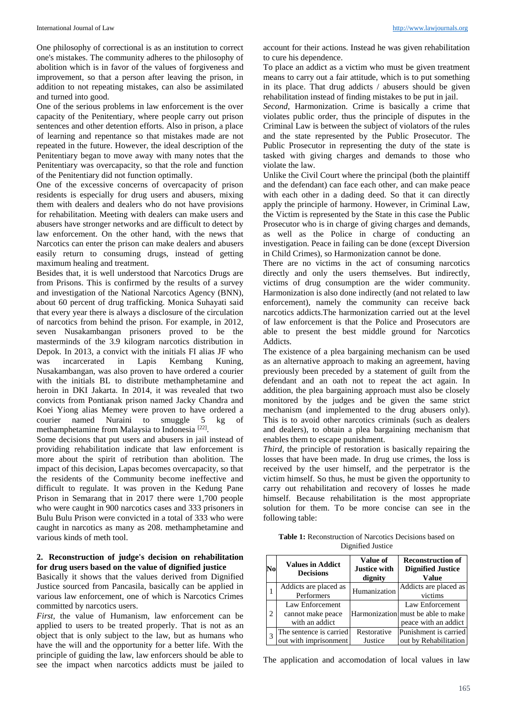One philosophy of correctional is as an institution to correct one's mistakes. The community adheres to the philosophy of abolition which is in favor of the values of forgiveness and improvement, so that a person after leaving the prison, in addition to not repeating mistakes, can also be assimilated and turned into good.

One of the serious problems in law enforcement is the over capacity of the Penitentiary, where people carry out prison sentences and other detention efforts. Also in prison, a place of learning and repentance so that mistakes made are not repeated in the future. However, the ideal description of the Penitentiary began to move away with many notes that the Penitentiary was overcapacity, so that the role and function of the Penitentiary did not function optimally.

One of the excessive concerns of overcapacity of prison residents is especially for drug users and abusers, mixing them with dealers and dealers who do not have provisions for rehabilitation. Meeting with dealers can make users and abusers have stronger networks and are difficult to detect by law enforcement. On the other hand, with the news that Narcotics can enter the prison can make dealers and abusers easily return to consuming drugs, instead of getting maximum healing and treatment.

Besides that, it is well understood that Narcotics Drugs are from Prisons. This is confirmed by the results of a survey and investigation of the National Narcotics Agency (BNN), about 60 percent of drug trafficking. Monica Suhayati said that every year there is always a disclosure of the circulation of narcotics from behind the prison. For example, in 2012, seven Nusakambangan prisoners proved to be the masterminds of the 3.9 kilogram narcotics distribution in Depok. In 2013, a convict with the initials FI alias JF who was incarcerated in Lapis Kembang Kuning. was incarcerated in Lapis Kembang Kuning, Nusakambangan, was also proven to have ordered a courier with the initials BL to distribute methamphetamine and heroin in DKI Jakarta. In 2014, it was revealed that two convicts from Pontianak prison named Jacky Chandra and Koei Yiong alias Memey were proven to have ordered a courier named Nuraini to smuggle 5 kg of methamphetamine from Malaysia to Indonesia<sup>[22]</sup>.

Some decisions that put users and abusers in jail instead of providing rehabilitation indicate that law enforcement is more about the spirit of retribution than abolition. The impact of this decision, Lapas becomes overcapacity, so that the residents of the Community become ineffective and difficult to regulate. It was proven in the Kedung Pane Prison in Semarang that in 2017 there were 1,700 people who were caught in 900 narcotics cases and 333 prisoners in Bulu Bulu Prison were convicted in a total of 333 who were caught in narcotics as many as 208. methamphetamine and various kinds of meth tool.

### **2. Reconstruction of judge's decision on rehabilitation for drug users based on the value of dignified justice**

Basically it shows that the values derived from Dignified Justice sourced from Pancasila, basically can be applied in various law enforcement, one of which is Narcotics Crimes committed by narcotics users.

*First,* the value of Humanism, law enforcement can be applied to users to be treated properly. That is not as an object that is only subject to the law, but as humans who have the will and the opportunity for a better life. With the principle of guiding the law, law enforcers should be able to see the impact when narcotics addicts must be jailed to

account for their actions. Instead he was given rehabilitation to cure his dependence.

To place an addict as a victim who must be given treatment means to carry out a fair attitude, which is to put something in its place. That drug addicts / abusers should be given rehabilitation instead of finding mistakes to be put in jail.

*Second*, Harmonization. Crime is basically a crime that violates public order, thus the principle of disputes in the Criminal Law is between the subject of violators of the rules and the state represented by the Public Prosecutor. The Public Prosecutor in representing the duty of the state is tasked with giving charges and demands to those who violate the law.

Unlike the Civil Court where the principal (both the plaintiff and the defendant) can face each other, and can make peace with each other in a dading deed. So that it can directly apply the principle of harmony. However, in Criminal Law, the Victim is represented by the State in this case the Public Prosecutor who is in charge of giving charges and demands, as well as the Police in charge of conducting an investigation. Peace in failing can be done (except Diversion in Child Crimes), so Harmonization cannot be done.

There are no victims in the act of consuming narcotics directly and only the users themselves. But indirectly, victims of drug consumption are the wider community. Harmonization is also done indirectly (and not related to law enforcement), namely the community can receive back narcotics addicts.The harmonization carried out at the level of law enforcement is that the Police and Prosecutors are able to present the best middle ground for Narcotics Addicts.

The existence of a plea bargaining mechanism can be used as an alternative approach to making an agreement, having previously been preceded by a statement of guilt from the defendant and an oath not to repeat the act again. In addition, the plea bargaining approach must also be closely monitored by the judges and be given the same strict mechanism (and implemented to the drug abusers only). This is to avoid other narcotics criminals (such as dealers and dealers), to obtain a plea bargaining mechanism that enables them to escape punishment.

*Third*, the principle of restoration is basically repairing the losses that have been made. In drug use crimes, the loss is received by the user himself, and the perpetrator is the victim himself. So thus, he must be given the opportunity to carry out rehabilitation and recovery of losses he made himself. Because rehabilitation is the most appropriate solution for them. To be more concise can see in the following table:

**Table 1:** Reconstruction of Narcotics Decisions based on Dignified Justice

| No             | <b>Values in Addict</b><br><b>Decisions</b>            | Value of<br>Justice with<br>dignity | <b>Reconstruction of</b><br><b>Dignified Justice</b><br>Value                 |
|----------------|--------------------------------------------------------|-------------------------------------|-------------------------------------------------------------------------------|
|                | Addicts are placed as<br>Performers                    | Humanization                        | Addicts are placed as<br>victims                                              |
| $\overline{c}$ | Law Enforcement<br>cannot make peace<br>with an addict |                                     | Law Enforcement<br>Harmonization must be able to make<br>peace with an addict |
|                | The sentence is carried<br>out with imprisonment       | Restorative<br>Justice              | Punishment is carried<br>out by Rehabilitation                                |

The application and accomodation of local values in law